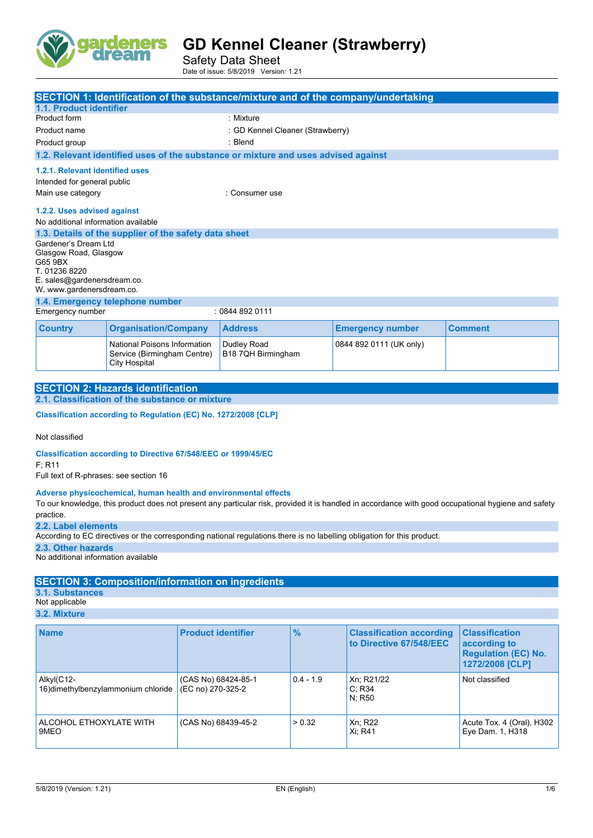

Safety Data Sheet Date of issue: 5/8/2019 Version: 1.21

|                                                                |                                                                                     | SECTION 1: Identification of the substance/mixture and of the company/undertaking  |                         |                |
|----------------------------------------------------------------|-------------------------------------------------------------------------------------|------------------------------------------------------------------------------------|-------------------------|----------------|
| <b>1.1. Product identifier</b>                                 |                                                                                     |                                                                                    |                         |                |
| Product form                                                   |                                                                                     | : Mixture                                                                          |                         |                |
| Product name                                                   |                                                                                     | : GD Kennel Cleaner (Strawberry)                                                   |                         |                |
| Product group                                                  |                                                                                     | : Blend                                                                            |                         |                |
|                                                                |                                                                                     | 1.2. Relevant identified uses of the substance or mixture and uses advised against |                         |                |
| 1.2.1. Relevant identified uses<br>Intended for general public |                                                                                     |                                                                                    |                         |                |
| Main use category<br>: Consumer use                            |                                                                                     |                                                                                    |                         |                |
| 1.2.2. Uses advised against                                    |                                                                                     |                                                                                    |                         |                |
| No additional information available                            |                                                                                     |                                                                                    |                         |                |
|                                                                | 1.3. Details of the supplier of the safety data sheet                               |                                                                                    |                         |                |
| Gardener's Dream Ltd<br>Glasgow Road, Glasgow<br>G65 9BX       |                                                                                     |                                                                                    |                         |                |
| T. 01236 8220                                                  |                                                                                     |                                                                                    |                         |                |
| E. sales@gardenersdream.co.<br>W. www.gardenersdream.co.       |                                                                                     |                                                                                    |                         |                |
|                                                                | 1.4. Emergency telephone number                                                     |                                                                                    |                         |                |
| Emergency number                                               |                                                                                     | : 0844 892 0111                                                                    |                         |                |
| <b>Country</b>                                                 | <b>Organisation/Company</b>                                                         | <b>Address</b>                                                                     | <b>Emergency number</b> | <b>Comment</b> |
|                                                                | National Poisons Information<br>Service (Birmingham Centre)<br><b>City Hospital</b> | Dudley Road<br>B18 7QH Birmingham                                                  | 0844 892 0111 (UK only) |                |

| <b>SECTION 2: Hazards identification</b>        |
|-------------------------------------------------|
| 2.1. Classification of the substance or mixture |
|                                                 |

**Classification according to Regulation (EC) No. 1272/2008 [CLP]** 

Not classified

**Classification according to Directive 67/548/EEC or 1999/45/EC**

F; R11

Full text of R-phrases: see section 16

#### **Adverse physicochemical, human health and environmental effects**

To our knowledge, this product does not present any particular risk, provided it is handled in accordance with good occupational hygiene and safety practice.

**2.2. Label elements**

According to EC directives or the corresponding national regulations there is no labelling obligation for this product.

**2.3. Other hazards**

No additional information available

### **SECTION 3: Composition/information on ingredients**

**3.1. Substances**

Not applicable **3.2. Mixture**

| <b>Name</b>                                       | <b>Product identifier</b>                | $\frac{9}{6}$ | <b>Classification according</b><br>to Directive 67/548/EEC | <b>Classification</b><br>according to<br><b>Regulation (EC) No.</b><br>1272/2008 [CLP] |
|---------------------------------------------------|------------------------------------------|---------------|------------------------------------------------------------|----------------------------------------------------------------------------------------|
| Alkyl(C12-<br>16) dimethylbenzylammonium chloride | (CAS No) 68424-85-1<br>(EC no) 270-325-2 | $0.4 - 1.9$   | Xn; R21/22<br>C: R34<br>N: R50                             | Not classified                                                                         |
| ALCOHOL ETHOXYLATE WITH<br>9MEO                   | (CAS No) 68439-45-2                      | > 0.32        | Xn; R22<br>Xi; R41                                         | Acute Tox. 4 (Oral), H302<br>Eye Dam. 1, H318                                          |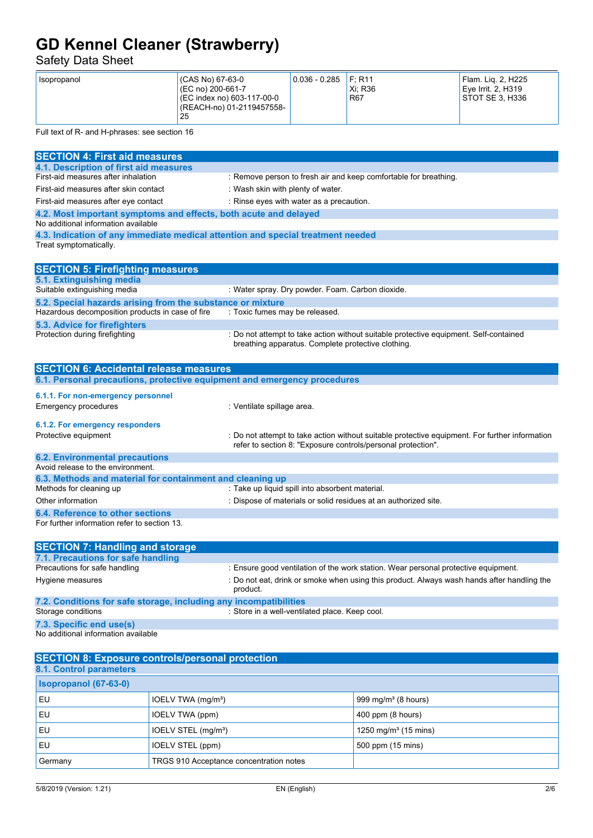### Safety Data Sheet

| (CAS No) 67-63-0<br>Isopropanol<br>(EC no) 200-661-7<br>(EC index no) 603-117-00-0<br>(REACH-no) 01-2119457558-<br>25 | $0.036 - 0.285$ | F: R11<br>Xi: R36<br>R67 | Flam. Lig. 2, H225<br>Eve Irrit, 2, H319<br><b>STOT SE 3. H336</b> |
|-----------------------------------------------------------------------------------------------------------------------|-----------------|--------------------------|--------------------------------------------------------------------|
|-----------------------------------------------------------------------------------------------------------------------|-----------------|--------------------------|--------------------------------------------------------------------|

Full text of R- and H-phrases: see section 16

| <b>SECTION 4: First aid measures</b>                                                                    |                                                                                                                                                                |
|---------------------------------------------------------------------------------------------------------|----------------------------------------------------------------------------------------------------------------------------------------------------------------|
| 4.1. Description of first aid measures                                                                  |                                                                                                                                                                |
| First-aid measures after inhalation                                                                     | : Remove person to fresh air and keep comfortable for breathing.                                                                                               |
| First-aid measures after skin contact                                                                   | : Wash skin with plenty of water.                                                                                                                              |
| First-aid measures after eye contact                                                                    | : Rinse eyes with water as a precaution.                                                                                                                       |
| 4.2. Most important symptoms and effects, both acute and delayed<br>No additional information available |                                                                                                                                                                |
| 4.3. Indication of any immediate medical attention and special treatment needed                         |                                                                                                                                                                |
| Treat symptomatically.                                                                                  |                                                                                                                                                                |
| <b>SECTION 5: Firefighting measures</b>                                                                 |                                                                                                                                                                |
| 5.1. Extinguishing media                                                                                |                                                                                                                                                                |
| Suitable extinguishing media                                                                            | : Water spray. Dry powder. Foam. Carbon dioxide.                                                                                                               |
| 5.2. Special hazards arising from the substance or mixture                                              |                                                                                                                                                                |
| Hazardous decomposition products in case of fire                                                        | : Toxic fumes may be released.                                                                                                                                 |
| 5.3. Advice for firefighters                                                                            |                                                                                                                                                                |
| Protection during firefighting                                                                          | : Do not attempt to take action without suitable protective equipment. Self-contained<br>breathing apparatus. Complete protective clothing.                    |
| <b>SECTION 6: Accidental release measures</b>                                                           |                                                                                                                                                                |
| 6.1. Personal precautions, protective equipment and emergency procedures                                |                                                                                                                                                                |
| 6.1.1. For non-emergency personnel                                                                      |                                                                                                                                                                |
| <b>Emergency procedures</b>                                                                             | : Ventilate spillage area.                                                                                                                                     |
| 6.1.2. For emergency responders                                                                         |                                                                                                                                                                |
| Protective equipment                                                                                    | : Do not attempt to take action without suitable protective equipment. For further information<br>refer to section 8: "Exposure controls/personal protection". |
| <b>6.2. Environmental precautions</b>                                                                   |                                                                                                                                                                |
| Avoid release to the environment.                                                                       |                                                                                                                                                                |
| 6.3. Methods and material for containment and cleaning up                                               |                                                                                                                                                                |
| Methods for cleaning up                                                                                 | : Take up liquid spill into absorbent material.                                                                                                                |
| Other information                                                                                       | : Dispose of materials or solid residues at an authorized site.                                                                                                |
| 6.4. Reference to other sections                                                                        |                                                                                                                                                                |
| For further information refer to section 13.                                                            |                                                                                                                                                                |
| <b>SECTION 7: Handling and storage</b>                                                                  |                                                                                                                                                                |
| 7.1. Precautions for safe handling                                                                      |                                                                                                                                                                |
| Precautions for safe handling                                                                           | : Ensure good ventilation of the work station. Wear personal protective equipment.                                                                             |
| Hygiene measures                                                                                        | : Do not eat, drink or smoke when using this product. Always wash hands after handling the<br>product.                                                         |
| 7.2. Conditions for safe storage, including any incompatibilities                                       |                                                                                                                                                                |
| Storage conditions                                                                                      | : Store in a well-ventilated place. Keep cool.                                                                                                                 |
| 7.3. Specific end use(s)                                                                                |                                                                                                                                                                |
| No additional information available                                                                     |                                                                                                                                                                |
|                                                                                                         |                                                                                                                                                                |

| <b>SECTION 8: Exposure controls/personal protection</b> |                                         |                                  |
|---------------------------------------------------------|-----------------------------------------|----------------------------------|
| 8.1. Control parameters                                 |                                         |                                  |
| Isopropanol (67-63-0)                                   |                                         |                                  |
| EU                                                      | IOELV TWA (mg/m <sup>3</sup> )          | 999 mg/m $3$ (8 hours)           |
| EU                                                      | IOELV TWA (ppm)                         | 400 ppm (8 hours)                |
| EU                                                      | IOELV STEL (mg/m <sup>3</sup> )         | 1250 mg/m <sup>3</sup> (15 mins) |
| EU                                                      | IOELV STEL (ppm)                        | 500 ppm (15 mins)                |
| Germany                                                 | TRGS 910 Acceptance concentration notes |                                  |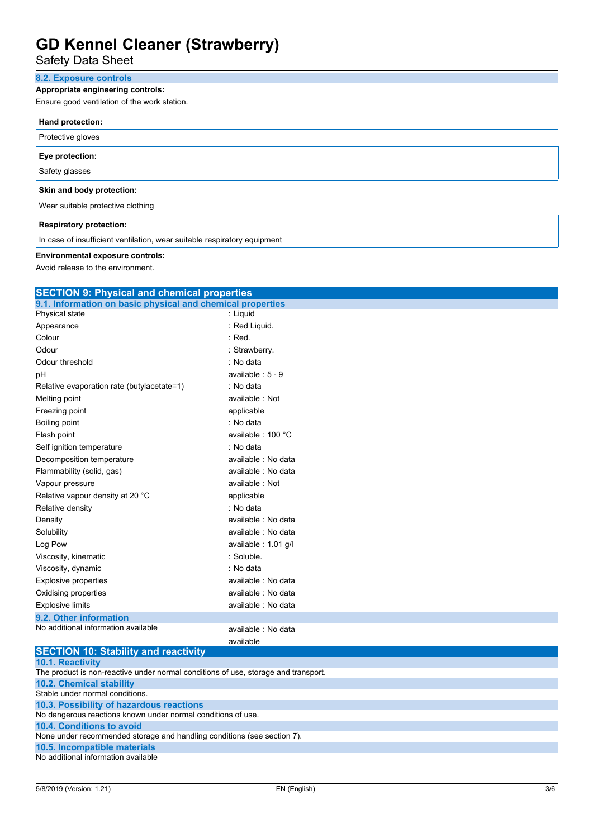Safety Data Sheet

### **8.2. Exposure controls**

### **Appropriate engineering controls:**

Ensure good ventilation of the work station.

| Hand protection:                                                         |
|--------------------------------------------------------------------------|
| Protective gloves                                                        |
| Eye protection:                                                          |
| Safety glasses                                                           |
| Skin and body protection:                                                |
| Wear suitable protective clothing                                        |
| <b>Respiratory protection:</b>                                           |
| In case of insufficient ventilation, wear suitable respiratory equipment |

### **Environmental exposure controls:**

Avoid release to the environment.

| <b>SECTION 9: Physical and chemical properties</b>         |                      |  |  |
|------------------------------------------------------------|----------------------|--|--|
| 9.1. Information on basic physical and chemical properties |                      |  |  |
| Physical state                                             | : Liquid             |  |  |
| Appearance                                                 | : Red Liquid.        |  |  |
| Colour                                                     | $:$ Red.             |  |  |
| Odour                                                      | : Strawberry.        |  |  |
| Odour threshold                                            | : No data            |  |  |
| pH                                                         | available : $5 - 9$  |  |  |
| Relative evaporation rate (butylacetate=1)                 | : No data            |  |  |
| Melting point                                              | available: Not       |  |  |
| Freezing point                                             | applicable           |  |  |
| Boiling point                                              | : No data            |  |  |
| Flash point                                                | available: 100 °C    |  |  |
| Self ignition temperature                                  | : No data            |  |  |
| Decomposition temperature                                  | available : No data  |  |  |
| Flammability (solid, gas)                                  | available : No data  |  |  |
| Vapour pressure                                            | available: Not       |  |  |
| Relative vapour density at 20 °C                           | applicable           |  |  |
| Relative density                                           | : No data            |  |  |
| Density                                                    | available : No data  |  |  |
| Solubility                                                 | available : No data  |  |  |
| Log Pow                                                    | available : 1.01 g/l |  |  |
| Viscosity, kinematic                                       | : Soluble.           |  |  |
| Viscosity, dynamic                                         | : No data            |  |  |
| <b>Explosive properties</b>                                | available : No data  |  |  |
| Oxidising properties                                       | available : No data  |  |  |
| <b>Explosive limits</b>                                    | available : No data  |  |  |
| 9.2. Other information                                     |                      |  |  |
| No additional information available                        | available : No data  |  |  |
|                                                            | available            |  |  |
| <b>SECTION 10: Stability and reactivity</b>                |                      |  |  |

| <b>SECTION TO. STADING AND FEACH VILY</b>                                          |
|------------------------------------------------------------------------------------|
| <b>10.1. Reactivity</b>                                                            |
| The product is non-reactive under normal conditions of use, storage and transport. |
| <b>10.2. Chemical stability</b>                                                    |
| Stable under normal conditions.                                                    |
| 10.3. Possibility of hazardous reactions                                           |
| No dangerous reactions known under normal conditions of use.                       |
| <b>10.4. Conditions to avoid</b>                                                   |
| None under recommended storage and handling conditions (see section 7).            |
| 10.5. Incompatible materials                                                       |
| No additional information available                                                |
|                                                                                    |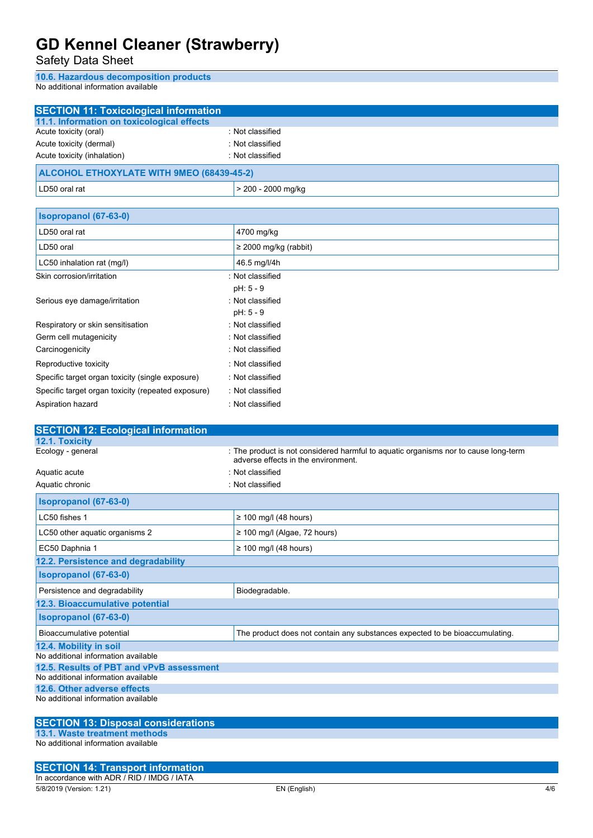Safety Data Sheet

**10.6. Hazardous decomposition products**

No additional information available

| <b>SECTION 11: Toxicological information</b>                       |                                                                                     |
|--------------------------------------------------------------------|-------------------------------------------------------------------------------------|
| 11.1. Information on toxicological effects                         |                                                                                     |
| Acute toxicity (oral)                                              | : Not classified                                                                    |
| Acute toxicity (dermal)                                            | : Not classified                                                                    |
| Acute toxicity (inhalation)                                        | : Not classified                                                                    |
| <b>ALCOHOL ETHOXYLATE WITH 9MEO (68439-45-2)</b>                   |                                                                                     |
| LD50 oral rat                                                      | > 200 - 2000 mg/kg                                                                  |
| Isopropanol (67-63-0)                                              |                                                                                     |
| LD50 oral rat                                                      | 4700 mg/kg                                                                          |
| LD50 oral                                                          | $\geq$ 2000 mg/kg (rabbit)                                                          |
| LC50 inhalation rat (mg/l)                                         | 46.5 mg/l/4h                                                                        |
| Skin corrosion/irritation                                          | : Not classified                                                                    |
|                                                                    | pH: 5 - 9                                                                           |
| Serious eye damage/irritation                                      | : Not classified                                                                    |
|                                                                    | pH: 5 - 9                                                                           |
| Respiratory or skin sensitisation                                  | : Not classified                                                                    |
| Germ cell mutagenicity                                             | : Not classified                                                                    |
| Carcinogenicity                                                    | : Not classified                                                                    |
| Reproductive toxicity                                              | : Not classified                                                                    |
| Specific target organ toxicity (single exposure)                   | : Not classified                                                                    |
| Specific target organ toxicity (repeated exposure)                 | : Not classified                                                                    |
| Aspiration hazard                                                  | : Not classified                                                                    |
|                                                                    |                                                                                     |
|                                                                    |                                                                                     |
|                                                                    |                                                                                     |
| 12.1. Toxicity                                                     |                                                                                     |
| <b>SECTION 12: Ecological information</b><br>Ecology - general     | : The product is not considered harmful to aquatic organisms nor to cause long-term |
|                                                                    | adverse effects in the environment.<br>: Not classified                             |
| Aquatic acute<br>Aquatic chronic                                   | : Not classified                                                                    |
| Isopropanol (67-63-0)                                              |                                                                                     |
| LC50 fishes 1                                                      | $\geq$ 100 mg/l (48 hours)                                                          |
| LC50 other aquatic organisms 2                                     | $\geq$ 100 mg/l (Algae, 72 hours)                                                   |
| EC50 Daphnia 1                                                     | $\geq$ 100 mg/l (48 hours)                                                          |
| 12.2. Persistence and degradability                                |                                                                                     |
| Isopropanol (67-63-0)                                              |                                                                                     |
| Persistence and degradability                                      | Biodegradable.                                                                      |
| 12.3. Bioaccumulative potential                                    |                                                                                     |
| Isopropanol (67-63-0)                                              |                                                                                     |
| Bioaccumulative potential                                          | The product does not contain any substances expected to be bioaccumulating.         |
| 12.4. Mobility in soil                                             |                                                                                     |
| No additional information available                                |                                                                                     |
| 12.5. Results of PBT and vPvB assessment                           |                                                                                     |
| No additional information available                                |                                                                                     |
| 12.6. Other adverse effects<br>No additional information available |                                                                                     |
|                                                                    |                                                                                     |
| <b>SECTION 13: Disposal considerations</b>                         |                                                                                     |

No additional information available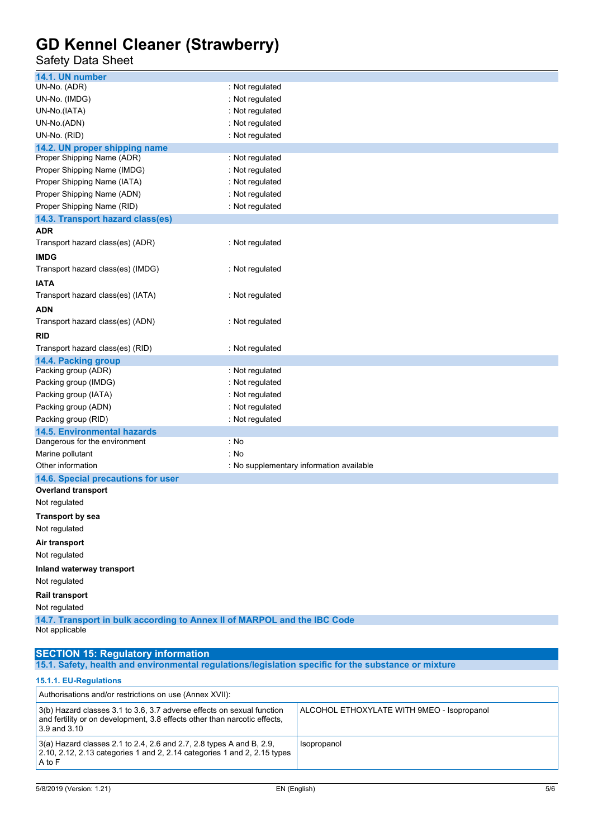### Safety Data Sheet

| 14.1. UN number                                                                            |                                          |
|--------------------------------------------------------------------------------------------|------------------------------------------|
| UN-No. (ADR)                                                                               | : Not regulated                          |
| UN-No. (IMDG)                                                                              | : Not regulated                          |
| UN-No.(IATA)                                                                               | : Not regulated                          |
| UN-No.(ADN)                                                                                | : Not regulated                          |
| UN-No. (RID)                                                                               | : Not regulated                          |
| 14.2. UN proper shipping name                                                              |                                          |
| Proper Shipping Name (ADR)                                                                 | : Not regulated                          |
| Proper Shipping Name (IMDG)                                                                | : Not regulated                          |
| Proper Shipping Name (IATA)                                                                | : Not regulated                          |
| Proper Shipping Name (ADN)                                                                 | : Not regulated                          |
| Proper Shipping Name (RID)                                                                 | : Not regulated                          |
| 14.3. Transport hazard class(es)                                                           |                                          |
| ADR                                                                                        |                                          |
| Transport hazard class(es) (ADR)                                                           | : Not regulated                          |
| <b>IMDG</b>                                                                                |                                          |
| Transport hazard class(es) (IMDG)                                                          | : Not regulated                          |
| <b>IATA</b>                                                                                |                                          |
| Transport hazard class(es) (IATA)                                                          | : Not regulated                          |
| ADN                                                                                        |                                          |
| Transport hazard class(es) (ADN)                                                           | : Not regulated                          |
| RID                                                                                        |                                          |
| Transport hazard class(es) (RID)                                                           | : Not regulated                          |
| 14.4. Packing group                                                                        |                                          |
| Packing group (ADR)                                                                        | : Not regulated                          |
| Packing group (IMDG)                                                                       | : Not regulated                          |
| Packing group (IATA)                                                                       | : Not regulated                          |
| Packing group (ADN)                                                                        | : Not regulated                          |
| Packing group (RID)                                                                        | : Not regulated                          |
| <b>14.5. Environmental hazards</b>                                                         |                                          |
| Dangerous for the environment                                                              | : No                                     |
| Marine pollutant                                                                           | : No                                     |
| Other information                                                                          | : No supplementary information available |
| 14.6. Special precautions for user                                                         |                                          |
| <b>Overland transport</b>                                                                  |                                          |
| Not regulated                                                                              |                                          |
| <b>Transport by sea</b>                                                                    |                                          |
| Not regulated                                                                              |                                          |
| Air transport                                                                              |                                          |
| Not regulated                                                                              |                                          |
| Inland waterway transport                                                                  |                                          |
| Not regulated                                                                              |                                          |
|                                                                                            |                                          |
| Rail transport                                                                             |                                          |
| Not regulated                                                                              |                                          |
| 14.7. Transport in bulk according to Annex II of MARPOL and the IBC Code<br>Not applicable |                                          |
|                                                                                            |                                          |
|                                                                                            |                                          |

#### **SECTION 15: Regulatory information 15.1. Safety, health and environmental regulations/legislation specific for the substance or mixture 15.1.1. EU-Regulations**

| 10. 1. 1. LU-KGYUKUUNIS                                                                                                                                             |                                            |
|---------------------------------------------------------------------------------------------------------------------------------------------------------------------|--------------------------------------------|
| Authorisations and/or restrictions on use (Annex XVII):                                                                                                             |                                            |
| 3(b) Hazard classes 3.1 to 3.6, 3.7 adverse effects on sexual function<br>and fertility or on development, 3.8 effects other than narcotic effects.<br>3.9 and 3.10 | ALCOHOL ETHOXYLATE WITH 9MEO - Isopropanol |
| 3(a) Hazard classes 2.1 to 2.4, 2.6 and 2.7, 2.8 types A and B, 2.9,<br>2.10, 2.12, 2.13 categories 1 and 2, 2.14 categories 1 and 2, 2.15 types<br>A to F          | Isopropanol                                |